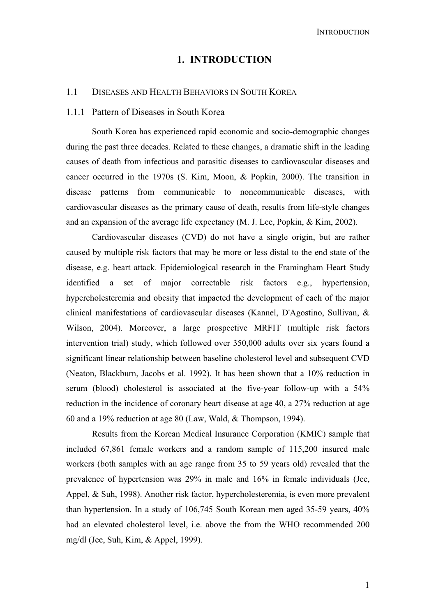# **1. INTRODUCTION**

## 1.1 DISEASES AND HEALTH BEHAVIORS IN SOUTH KOREA

### 1.1.1 Pattern of Diseases in South Korea

South Korea has experienced rapid economic and socio-demographic changes during the past three decades. Related to these changes, a dramatic shift in the leading causes of death from infectious and parasitic diseases to cardiovascular diseases and cancer occurred in the 1970s (S. Kim, Moon, & Popkin, 2000). The transition in disease patterns from communicable to noncommunicable diseases, with cardiovascular diseases as the primary cause of death, results from life-style changes and an expansion of the average life expectancy (M. J. Lee, Popkin, & Kim, 2002).

Cardiovascular diseases (CVD) do not have a single origin, but are rather caused by multiple risk factors that may be more or less distal to the end state of the disease, e.g. heart attack. Epidemiological research in the Framingham Heart Study identified a set of major correctable risk factors e.g., hypertension, hypercholesteremia and obesity that impacted the development of each of the major clinical manifestations of cardiovascular diseases (Kannel, D'Agostino, Sullivan, & Wilson, 2004). Moreover, a large prospective MRFIT (multiple risk factors intervention trial) study, which followed over 350,000 adults over six years found a significant linear relationship between baseline cholesterol level and subsequent CVD (Neaton, Blackburn, Jacobs et al. 1992). It has been shown that a 10% reduction in serum (blood) cholesterol is associated at the five-year follow-up with a 54% reduction in the incidence of coronary heart disease at age 40, a 27% reduction at age 60 and a 19% reduction at age 80 (Law, Wald, & Thompson, 1994).

Results from the Korean Medical Insurance Corporation (KMIC) sample that included 67,861 female workers and a random sample of 115,200 insured male workers (both samples with an age range from 35 to 59 years old) revealed that the prevalence of hypertension was 29% in male and 16% in female individuals (Jee, Appel, & Suh, 1998). Another risk factor, hypercholesteremia, is even more prevalent than hypertension. In a study of 106,745 South Korean men aged 35-59 years, 40% had an elevated cholesterol level, i.e. above the from the WHO recommended 200 mg/dl (Jee, Suh, Kim, & Appel, 1999).

1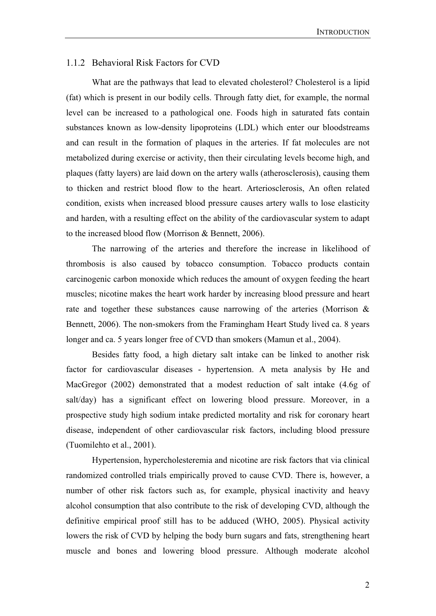# 1.1.2 Behavioral Risk Factors for CVD

What are the pathways that lead to elevated cholesterol? Cholesterol is a lipid (fat) which is present in our bodily cells. Through fatty diet, for example, the normal level can be increased to a pathological one. Foods high in saturated fats contain substances known as low-density lipoproteins (LDL) which enter our bloodstreams and can result in the formation of plaques in the arteries. If fat molecules are not metabolized during exercise or activity, then their circulating levels become high, and plaques (fatty layers) are laid down on the artery walls (atherosclerosis), causing them to thicken and restrict blood flow to the heart. Arteriosclerosis, An often related condition, exists when increased blood pressure causes artery walls to lose elasticity and harden, with a resulting effect on the ability of the cardiovascular system to adapt to the increased blood flow (Morrison & Bennett, 2006).

The narrowing of the arteries and therefore the increase in likelihood of thrombosis is also caused by tobacco consumption. Tobacco products contain carcinogenic carbon monoxide which reduces the amount of oxygen feeding the heart muscles; nicotine makes the heart work harder by increasing blood pressure and heart rate and together these substances cause narrowing of the arteries (Morrison & Bennett, 2006). The non-smokers from the Framingham Heart Study lived ca. 8 years longer and ca. 5 years longer free of CVD than smokers (Mamun et al., 2004).

Besides fatty food, a high dietary salt intake can be linked to another risk factor for cardiovascular diseases - hypertension. A meta analysis by He and MacGregor (2002) demonstrated that a modest reduction of salt intake (4.6g of salt/day) has a significant effect on lowering blood pressure. Moreover, in a prospective study high sodium intake predicted mortality and risk for coronary heart disease, independent of other cardiovascular risk factors, including blood pressure (Tuomilehto et al., 2001).

Hypertension, hypercholesteremia and nicotine are risk factors that via clinical randomized controlled trials empirically proved to cause CVD. There is, however, a number of other risk factors such as, for example, physical inactivity and heavy alcohol consumption that also contribute to the risk of developing CVD, although the definitive empirical proof still has to be adduced (WHO, 2005). Physical activity lowers the risk of CVD by helping the body burn sugars and fats, strengthening heart muscle and bones and lowering blood pressure. Although moderate alcohol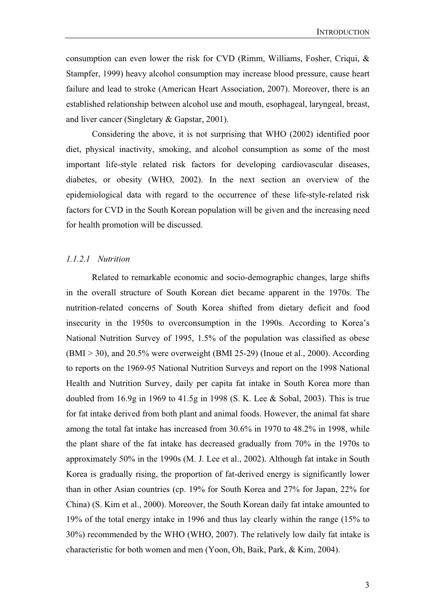consumption can even lower the risk for CVD (Rimm, Williams, Fosher, Criqui, & Stampfer, 1999) heavy alcohol consumption may increase blood pressure, cause heart failure and lead to stroke (American Heart Association, 2007). Moreover, there is an established relationship between alcohol use and mouth, esophageal, laryngeal, breast, and liver cancer (Singletary & Gapstar, 2001).

Considering the above, it is not surprising that WHO (2002) identified poor diet, physical inactivity, smoking, and alcohol consumption as some of the most important life-style related risk factors for developing cardiovascular diseases, diabetes, or obesity (WHO, 2002). In the next section an overview of the epidemiological data with regard to the occurrence of these life-style-related risk factors for CVD in the South Korean population will be given and the increasing need for health promotion will be discussed.

Related to remarkable economic and socio-demographic changes, large shifts in the overall structure of South Korean diet became apparent in the 1970s. The nutrition-related concerns of South Korea shifted from dietary deficit and food insecurity in the 1950s to overconsumption in the 1990s. According to Korea's National Nutrition Survey of 1995, 1.5% of the population was classified as obese (BMI > 30), and 20.5% were overweight (BMI 25-29) (Inoue et al., 2000). According to reports on the 1969-95 National Nutrition Surveys and report on the 1998 National Health and Nutrition Survey, daily per capita fat intake in South Korea more than doubled from 16.9g in 1969 to 41.5g in 1998 (S. K. Lee & Sobal, 2003). This is true for fat intake derived from both plant and animal foods. However, the animal fat share among the total fat intake has increased from 30.6% in 1970 to 48.2% in 1998, while the plant share of the fat intake has decreased gradually from 70% in the 1970s to approximately 50% in the 1990s (M. J. Lee et al., 2002). Although fat intake in South Korea is gradually rising, the proportion of fat-derived energy is significantly lower than in other Asian countries (cp. 19% for South Korea and 27% for Japan, 22% for China) (S. Kim et al., 2000). Moreover, the South Korean daily fat intake amounted to 19% of the total energy intake in 1996 and thus lay clearly within the range (15% to 30%) recommended by the WHO (WHO, 2007). The relatively low daily fat intake is characteristic for both women and men (Yoon, Oh, Baik, Park, & Kim, 2004).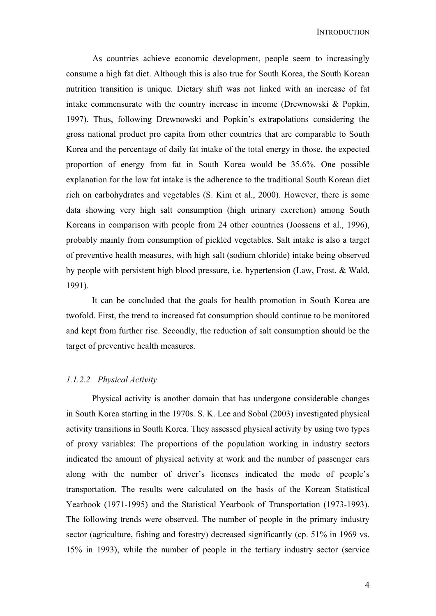As countries achieve economic development, people seem to increasingly consume a high fat diet. Although this is also true for South Korea, the South Korean nutrition transition is unique. Dietary shift was not linked with an increase of fat intake commensurate with the country increase in income (Drewnowski & Popkin, 1997). Thus, following Drewnowski and Popkin's extrapolations considering the gross national product pro capita from other countries that are comparable to South Korea and the percentage of daily fat intake of the total energy in those, the expected proportion of energy from fat in South Korea would be 35.6%. One possible explanation for the low fat intake is the adherence to the traditional South Korean diet rich on carbohydrates and vegetables (S. Kim et al., 2000). However, there is some data showing very high salt consumption (high urinary excretion) among South Koreans in comparison with people from 24 other countries (Joossens et al., 1996), probably mainly from consumption of pickled vegetables. Salt intake is also a target of preventive health measures, with high salt (sodium chloride) intake being observed by people with persistent high blood pressure, i.e. hypertension (Law, Frost, & Wald, 1991).

It can be concluded that the goals for health promotion in South Korea are twofold. First, the trend to increased fat consumption should continue to be monitored and kept from further rise. Secondly, the reduction of salt consumption should be the target of preventive health measures.

### *1.1.2.2 Physical Activity*

Physical activity is another domain that has undergone considerable changes in South Korea starting in the 1970s. S. K. Lee and Sobal (2003) investigated physical activity transitions in South Korea. They assessed physical activity by using two types of proxy variables: The proportions of the population working in industry sectors indicated the amount of physical activity at work and the number of passenger cars along with the number of driver's licenses indicated the mode of people's transportation. The results were calculated on the basis of the Korean Statistical Yearbook (1971-1995) and the Statistical Yearbook of Transportation (1973-1993). The following trends were observed. The number of people in the primary industry sector (agriculture, fishing and forestry) decreased significantly (cp. 51% in 1969 vs. 15% in 1993), while the number of people in the tertiary industry sector (service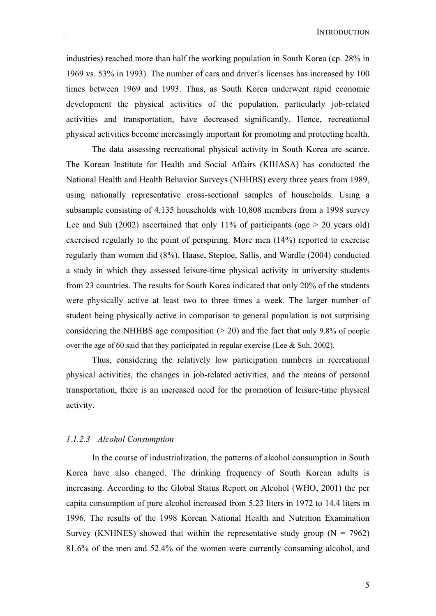industries) reached more than half the working population in South Korea (cp. 28% in 1969 vs. 53% in 1993). The number of cars and driver's licenses has increased by 100 times between 1969 and 1993. Thus, as South Korea underwent rapid economic development the physical activities of the population, particularly job-related activities and transportation, have decreased significantly. Hence, recreational physical activities become increasingly important for promoting and protecting health.

The data assessing recreational physical activity in South Korea are scarce. The Korean Institute for Health and Social Affairs (KIHASA) has conducted the National Health and Health Behavior Surveys (NHHBS) every three years from 1989, using nationally representative cross-sectional samples of households. Using a subsample consisting of 4,135 households with 10,808 members from a 1998 survey Lee and Suh (2002) ascertained that only 11% of participants (age  $> 20$  years old) exercised regularly to the point of perspiring. More men (14%) reported to exercise regularly than women did (8%). Haase, Steptoe, Sallis, and Wardle (2004) conducted a study in which they assessed leisure-time physical activity in university students from 23 countries. The results for South Korea indicated that only 20% of the students were physically active at least two to three times a week. The larger number of student being physically active in comparison to general population is not surprising considering the NHHBS age composition  $(> 20)$  and the fact that only 9.8% of people over the age of 60 said that they participated in regular exercise (Lee & Suh, 2002).

Thus, considering the relatively low participation numbers in recreational physical activities, the changes in job-related activities, and the means of personal transportation, there is an increased need for the promotion of leisure-time physical activity.

# *1.1.2.3 Alcohol Consumption*

In the course of industrialization, the patterns of alcohol consumption in South Korea have also changed. The drinking frequency of South Korean adults is increasing. According to the Global Status Report on Alcohol (WHO, 2001) the per capita consumption of pure alcohol increased from 5.23 liters in 1972 to 14.4 liters in 1996. The results of the 1998 Korean National Health and Nutrition Examination Survey (KNHNES) showed that within the representative study group ( $N = 7962$ ) 81.6% of the men and 52.4% of the women were currently consuming alcohol, and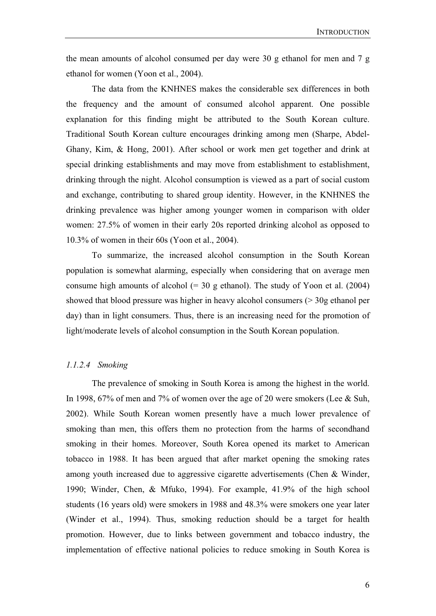the mean amounts of alcohol consumed per day were 30 g ethanol for men and 7 g ethanol for women (Yoon et al., 2004).

The data from the KNHNES makes the considerable sex differences in both the frequency and the amount of consumed alcohol apparent. One possible explanation for this finding might be attributed to the South Korean culture. Traditional South Korean culture encourages drinking among men (Sharpe, Abdel-Ghany, Kim, & Hong, 2001). After school or work men get together and drink at special drinking establishments and may move from establishment to establishment, drinking through the night. Alcohol consumption is viewed as a part of social custom and exchange, contributing to shared group identity. However, in the KNHNES the drinking prevalence was higher among younger women in comparison with older women: 27.5% of women in their early 20s reported drinking alcohol as opposed to 10.3% of women in their 60s (Yoon et al., 2004).

To summarize, the increased alcohol consumption in the South Korean population is somewhat alarming, especially when considering that on average men consume high amounts of alcohol  $(= 30 \text{ g ethanol})$ . The study of Yoon et al. (2004) showed that blood pressure was higher in heavy alcohol consumers (> 30g ethanol per day) than in light consumers. Thus, there is an increasing need for the promotion of light/moderate levels of alcohol consumption in the South Korean population.

# *1.1.2.4 Smoking*

The prevalence of smoking in South Korea is among the highest in the world. In 1998, 67% of men and 7% of women over the age of 20 were smokers (Lee & Suh, 2002). While South Korean women presently have a much lower prevalence of smoking than men, this offers them no protection from the harms of secondhand smoking in their homes. Moreover, South Korea opened its market to American tobacco in 1988. It has been argued that after market opening the smoking rates among youth increased due to aggressive cigarette advertisements (Chen & Winder, 1990; Winder, Chen, & Mfuko, 1994). For example, 41.9% of the high school students (16 years old) were smokers in 1988 and 48.3% were smokers one year later (Winder et al., 1994). Thus, smoking reduction should be a target for health promotion. However, due to links between government and tobacco industry, the implementation of effective national policies to reduce smoking in South Korea is